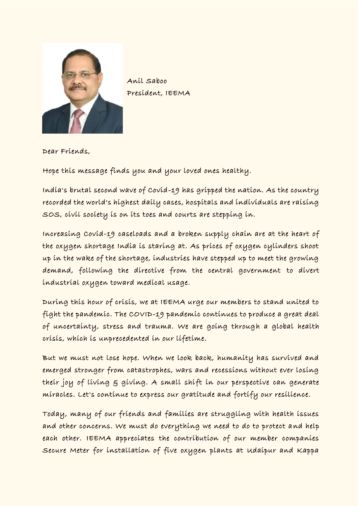

Anil Saboo President, IEEMA

Dear Friends,

Hope this message finds you and your loved ones healthy.

India's brutal second wave of Covid-19 has gripped the nation. As the country recorded the world's highest daily cases, hospitals and individuals are raising SOS, civil society is on its toes and courts are stepping in.

Increasing Covid-19 caseloads and a broken supply chain are at the heart of the oxygen shortage India is staring at. As prices of oxygen cylinders shoot up in the wake of the shortage, industries have stepped up to meet the growing demand, following the directive from the central government to divert industrial oxygen toward medical usage.

During this hour of crisis, we at IEEMA urge our members to stand united to fight the pandemic. The COVID-19 pandemic continues to produce a great deal of uncertainty, stress and trauma. We are going through a global health crisis, which is unprecedented in our lifetime.

But we must not lose hope. When we look back, humanity has survived and emerged stronger from catastrophes, wars and recessions without ever losing their joy of living & giving. A small shift in our perspective can generate miracles. Let's continue to express our gratitude and fortify our resilience.

Today, many of our friends and families are struggling with health issues and other concerns. We must do everything we need to do to protect and help each other. IEEMA appreciates the contribution of our member companies Secure Meter for installation of five oxygen plants at Udaipur and Kappa